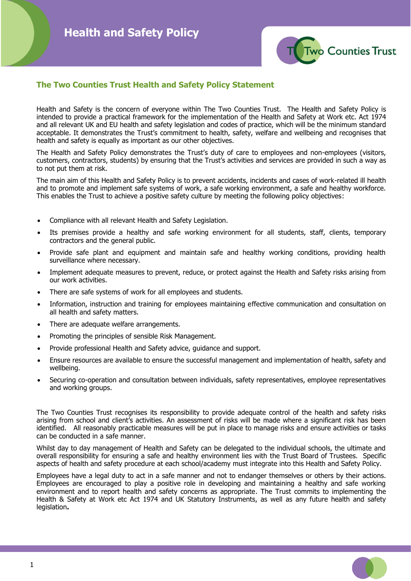

# **The Two Counties Trust Health and Safety Policy Statement**

Health and Safety is the concern of everyone within The Two Counties Trust. The Health and Safety Policy is intended to provide a practical framework for the implementation of the Health and Safety at Work etc. Act 1974 and all relevant UK and EU health and safety legislation and codes of practice, which will be the minimum standard acceptable. It demonstrates the Trust's commitment to health, safety, welfare and wellbeing and recognises that health and safety is equally as important as our other objectives.

The Health and Safety Policy demonstrates the Trust's duty of care to employees and non-employees (visitors, customers, contractors, students) by ensuring that the Trust's activities and services are provided in such a way as to not put them at risk.

The main aim of this Health and Safety Policy is to prevent accidents, incidents and cases of work-related ill health and to promote and implement safe systems of work, a safe working environment, a safe and healthy workforce. This enables the Trust to achieve a positive safety culture by meeting the following policy objectives:

- Compliance with all relevant Health and Safety Legislation.
- Its premises provide a healthy and safe working environment for all students, staff, clients, temporary contractors and the general public.
- Provide safe plant and equipment and maintain safe and healthy working conditions, providing health surveillance where necessary.
- Implement adequate measures to prevent, reduce, or protect against the Health and Safety risks arising from our work activities.
- There are safe systems of work for all employees and students.
- Information, instruction and training for employees maintaining effective communication and consultation on all health and safety matters.
- There are adequate welfare arrangements.
- Promoting the principles of sensible Risk Management.
- Provide professional Health and Safety advice, guidance and support.
- Ensure resources are available to ensure the successful management and implementation of health, safety and wellbeing.
- Securing co-operation and consultation between individuals, safety representatives, employee representatives and working groups.

The Two Counties Trust recognises its responsibility to provide adequate control of the health and safety risks arising from school and client's activities. An assessment of risks will be made where a significant risk has been identified. All reasonably practicable measures will be put in place to manage risks and ensure activities or tasks can be conducted in a safe manner.

Whilst day to day management of Health and Safety can be delegated to the individual schools, the ultimate and overall responsibility for ensuring a safe and healthy environment lies with the Trust Board of Trustees. Specific aspects of health and safety procedure at each school/academy must integrate into this Health and Safety Policy.

Employees have a legal duty to act in a safe manner and not to endanger themselves or others by their actions. Employees are encouraged to play a positive role in developing and maintaining a healthy and safe working environment and to report health and safety concerns as appropriate. The Trust commits to implementing the Health & Safety at Work etc Act 1974 and UK Statutory Instruments, as well as any future health and safety legislation**.**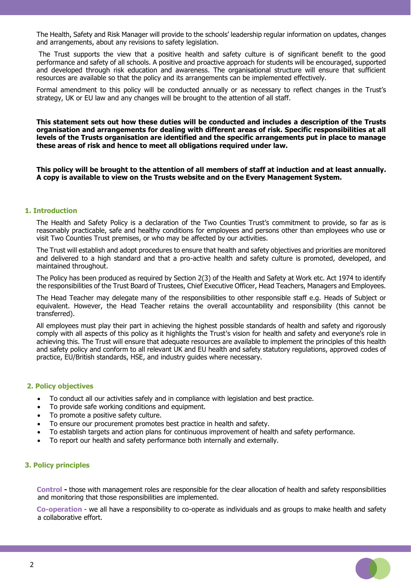The Health, Safety and Risk Manager will provide to the schools' leadership regular information on updates, changes and arrangements, about any revisions to safety legislation.

The Trust supports the view that a positive health and safety culture is of significant benefit to the good performance and safety of all schools. A positive and proactive approach for students will be encouraged, supported and developed through risk education and awareness. The organisational structure will ensure that sufficient resources are available so that the policy and its arrangements can be implemented effectively.

Formal amendment to this policy will be conducted annually or as necessary to reflect changes in the Trust's strategy, UK or EU law and any changes will be brought to the attention of all staff.

**This statement sets out how these duties will be conducted and includes a description of the Trusts organisation and arrangements for dealing with different areas of risk. Specific responsibilities at all levels of the Trusts organisation are identified and the specific arrangements put in place to manage these areas of risk and hence to meet all obligations required under law.** 

**This policy will be brought to the attention of all members of staff at induction and at least annually. A copy is available to view on the Trusts website and on the Every Management System.** 

#### **1. Introduction**

The Health and Safety Policy is a declaration of the Two Counties Trust's commitment to provide, so far as is reasonably practicable, safe and healthy conditions for employees and persons other than employees who use or visit Two Counties Trust premises, or who may be affected by our activities.

The Trust will establish and adopt procedures to ensure that health and safety objectives and priorities are monitored and delivered to a high standard and that a pro-active health and safety culture is promoted, developed, and maintained throughout.

The Policy has been produced as required by Section 2(3) of the Health and Safety at Work etc. Act 1974 to identify the responsibilities of the Trust Board of Trustees, Chief Executive Officer, Head Teachers, Managers and Employees.

The Head Teacher may delegate many of the responsibilities to other responsible staff e.g. Heads of Subject or equivalent. However, the Head Teacher retains the overall accountability and responsibility (this cannot be transferred).

All employees must play their part in achieving the highest possible standards of health and safety and rigorously comply with all aspects of this policy as it highlights the Trust's vision for health and safety and everyone's role in achieving this. The Trust will ensure that adequate resources are available to implement the principles of this health and safety policy and conform to all relevant UK and EU health and safety statutory regulations, approved codes of practice, EU/British standards, HSE, and industry guides where necessary.

#### **2. Policy objectives**

- To conduct all our activities safely and in compliance with legislation and best practice.
- To provide safe working conditions and equipment.
- To promote a positive safety culture.
- To ensure our procurement promotes best practice in health and safety.
- To establish targets and action plans for continuous improvement of health and safety performance.
- To report our health and safety performance both internally and externally.

#### **3. Policy principles**

 **Control -** those with management roles are responsible for the clear allocation of health and safety responsibilities and monitoring that those responsibilities are implemented.

 **Co-operation** - we all have a responsibility to co-operate as individuals and as groups to make health and safety a collaborative effort.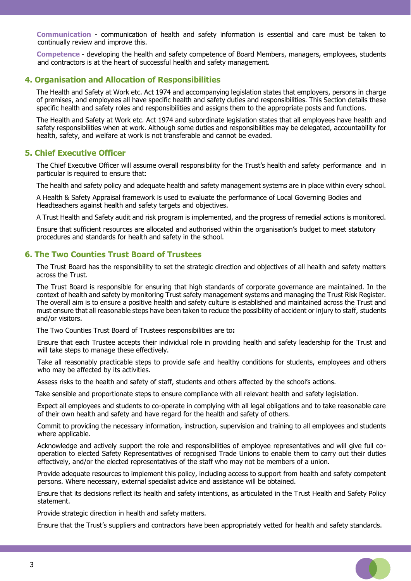**Communication** - communication of health and safety information is essential and care must be taken to continually review and improve this.

 **Competence** - developing the health and safety competence of Board Members, managers, employees, students and contractors is at the heart of successful health and safety management.

## **4. Organisation and Allocation of Responsibilities**

The Health and Safety at Work etc. Act 1974 and accompanying legislation states that employers, persons in charge of premises, and employees all have specific health and safety duties and responsibilities. This Section details these specific health and safety roles and responsibilities and assigns them to the appropriate posts and functions.

The Health and Safety at Work etc. Act 1974 and subordinate legislation states that all employees have health and safety responsibilities when at work. Although some duties and responsibilities may be delegated, accountability for health, safety, and welfare at work is not transferable and cannot be evaded.

## **5. Chief Executive Officer**

The Chief Executive Officer will assume overall responsibility for the Trust's health and safety performance and in particular is required to ensure that:

The health and safety policy and adequate health and safety management systems are in place within every school.

A Health & Safety Appraisal framework is used to evaluate the performance of Local Governing Bodies and Headteachers against health and safety targets and objectives.

A Trust Health and Safety audit and risk program is implemented, and the progress of remedial actions is monitored.

Ensure that sufficient resources are allocated and authorised within the organisation's budget to meet statutory procedures and standards for health and safety in the school.

# **6. The Two Counties Trust Board of Trustees**

The Trust Board has the responsibility to set the strategic direction and objectives of all health and safety matters across the Trust.

The Trust Board is responsible for ensuring that high standards of corporate governance are maintained. In the context of health and safety by monitoring Trust safety management systems and managing the Trust Risk Register. The overall aim is to ensure a positive health and safety culture is established and maintained across the Trust and must ensure that all reasonable steps have been taken to reduce the possibility of accident or injury to staff, students and/or visitors.

The Two Counties Trust Board of Trustees responsibilities are to**:**

 Ensure that each Trustee accepts their individual role in providing health and safety leadership for the Trust and will take steps to manage these effectively.

 Take all reasonably practicable steps to provide safe and healthy conditions for students, employees and others who may be affected by its activities.

Assess risks to the health and safety of staff, students and others affected by the school's actions.

Take sensible and proportionate steps to ensure compliance with all relevant health and safety legislation.

 Expect all employees and students to co-operate in complying with all legal obligations and to take reasonable care of their own health and safety and have regard for the health and safety of others.

 Commit to providing the necessary information, instruction, supervision and training to all employees and students where applicable.

 Acknowledge and actively support the role and responsibilities of employee representatives and will give full cooperation to elected Safety Representatives of recognised Trade Unions to enable them to carry out their duties effectively, and/or the elected representatives of the staff who may not be members of a union.

 Provide adequate resources to implement this policy, including access to support from health and safety competent persons. Where necessary, external specialist advice and assistance will be obtained.

 Ensure that its decisions reflect its health and safety intentions, as articulated in the Trust Health and Safety Policy statement.

Provide strategic direction in health and safety matters.

Ensure that the Trust's suppliers and contractors have been appropriately vetted for health and safety standards.

 $\Box$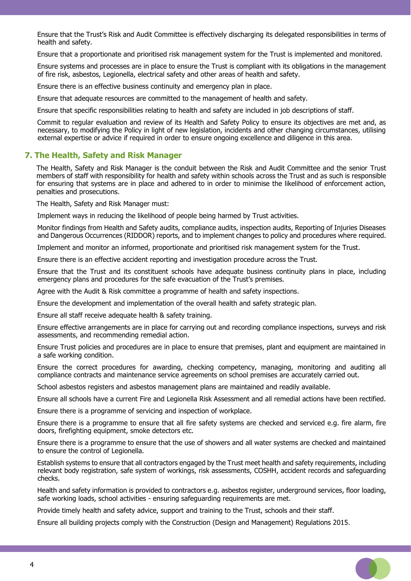Ensure that the Trust's Risk and Audit Committee is effectively discharging its delegated responsibilities in terms of health and safety.

Ensure that a proportionate and prioritised risk management system for the Trust is implemented and monitored.

 Ensure systems and processes are in place to ensure the Trust is compliant with its obligations in the management of fire risk, asbestos, Legionella, electrical safety and other areas of health and safety.

Ensure there is an effective business continuity and emergency plan in place.

Ensure that adequate resources are committed to the management of health and safety.

Ensure that specific responsibilities relating to health and safety are included in job descriptions of staff.

 Commit to regular evaluation and review of its Health and Safety Policy to ensure its objectives are met and, as necessary, to modifying the Policy in light of new legislation, incidents and other changing circumstances, utilising external expertise or advice if required in order to ensure ongoing excellence and diligence in this area.

## **7. The Health, Safety and Risk Manager**

The Health, Safety and Risk Manager is the conduit between the Risk and Audit Committee and the senior Trust members of staff with responsibility for health and safety within schools across the Trust and as such is responsible for ensuring that systems are in place and adhered to in order to minimise the likelihood of enforcement action, penalties and prosecutions.

The Health, Safety and Risk Manager must:

Implement ways in reducing the likelihood of people being harmed by Trust activities.

 Monitor findings from Health and Safety audits, compliance audits, inspection audits, Reporting of Injuries Diseases and Dangerous Occurrences (RIDDOR) reports, and to implement changes to policy and procedures where required.

Implement and monitor an informed, proportionate and prioritised risk management system for the Trust.

Ensure there is an effective accident reporting and investigation procedure across the Trust.

 Ensure that the Trust and its constituent schools have adequate business continuity plans in place, including emergency plans and procedures for the safe evacuation of the Trust's premises.

Agree with the Audit & Risk committee a programme of health and safety inspections.

Ensure the development and implementation of the overall health and safety strategic plan.

Ensure all staff receive adequate health & safety training.

 Ensure effective arrangements are in place for carrying out and recording compliance inspections, surveys and risk assessments, and recommending remedial action.

 Ensure Trust policies and procedures are in place to ensure that premises, plant and equipment are maintained in a safe working condition.

 Ensure the correct procedures for awarding, checking competency, managing, monitoring and auditing all compliance contracts and maintenance service agreements on school premises are accurately carried out.

School asbestos registers and asbestos management plans are maintained and readily available.

Ensure all schools have a current Fire and Legionella Risk Assessment and all remedial actions have been rectified.

Ensure there is a programme of servicing and inspection of workplace.

 Ensure there is a programme to ensure that all fire safety systems are checked and serviced e.g. fire alarm, fire doors, firefighting equipment, smoke detectors etc.

 Ensure there is a programme to ensure that the use of showers and all water systems are checked and maintained to ensure the control of Legionella.

 Establish systems to ensure that all contractors engaged by the Trust meet health and safety requirements, including relevant body registration, safe system of workings, risk assessments, COSHH, accident records and safeguarding checks.

 Health and safety information is provided to contractors e.g. asbestos register, underground services, floor loading, safe working loads, school activities - ensuring safeguarding requirements are met.

Provide timely health and safety advice, support and training to the Trust, schools and their staff.

Ensure all building projects comply with the Construction (Design and Management) Regulations 2015.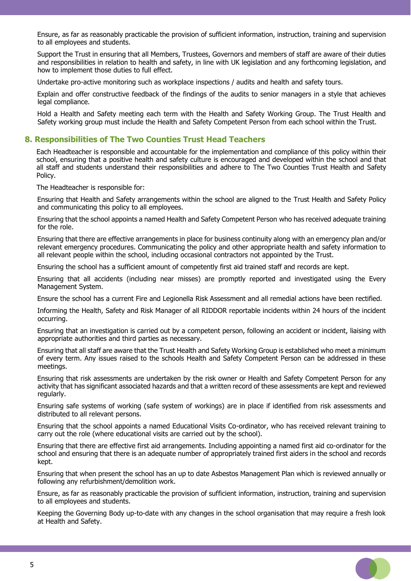Ensure, as far as reasonably practicable the provision of sufficient information, instruction, training and supervision to all employees and students.

 Support the Trust in ensuring that all Members, Trustees, Governors and members of staff are aware of their duties and responsibilities in relation to health and safety, in line with UK legislation and any forthcoming legislation, and how to implement those duties to full effect.

Undertake pro-active monitoring such as workplace inspections / audits and health and safety tours.

 Explain and offer constructive feedback of the findings of the audits to senior managers in a style that achieves legal compliance.

 Hold a Health and Safety meeting each term with the Health and Safety Working Group. The Trust Health and Safety working group must include the Health and Safety Competent Person from each school within the Trust.

# **8. Responsibilities of The Two Counties Trust Head Teachers**

Each Headteacher is responsible and accountable for the implementation and compliance of this policy within their school, ensuring that a positive health and safety culture is encouraged and developed within the school and that all staff and students understand their responsibilities and adhere to The Two Counties Trust Health and Safety Policy.

The Headteacher is responsible for:

 Ensuring that Health and Safety arrangements within the school are aligned to the Trust Health and Safety Policy and communicating this policy to all employees.

 Ensuring that the school appoints a named Health and Safety Competent Person who has received adequate training for the role.

 Ensuring that there are effective arrangements in place for business continuity along with an emergency plan and/or relevant emergency procedures. Communicating the policy and other appropriate health and safety information to all relevant people within the school, including occasional contractors not appointed by the Trust.

Ensuring the school has a sufficient amount of competently first aid trained staff and records are kept.

 Ensuring that all accidents (including near misses) are promptly reported and investigated using the Every Management System.

Ensure the school has a current Fire and Legionella Risk Assessment and all remedial actions have been rectified.

 Informing the Health, Safety and Risk Manager of all RIDDOR reportable incidents within 24 hours of the incident occurring.

 Ensuring that an investigation is carried out by a competent person, following an accident or incident, liaising with appropriate authorities and third parties as necessary.

 Ensuring that all staff are aware that the Trust Health and Safety Working Group is established who meet a minimum of every term. Any issues raised to the schools Health and Safety Competent Person can be addressed in these meetings.

 Ensuring that risk assessments are undertaken by the risk owner or Health and Safety Competent Person for any activity that has significant associated hazards and that a written record of these assessments are kept and reviewed regularly.

 Ensuring safe systems of working (safe system of workings) are in place if identified from risk assessments and distributed to all relevant persons.

 Ensuring that the school appoints a named Educational Visits Co-ordinator, who has received relevant training to carry out the role (where educational visits are carried out by the school).

 Ensuring that there are effective first aid arrangements. Including appointing a named first aid co-ordinator for the school and ensuring that there is an adequate number of appropriately trained first aiders in the school and records kept.

 Ensuring that when present the school has an up to date Asbestos Management Plan which is reviewed annually or following any refurbishment/demolition work.

 Ensure, as far as reasonably practicable the provision of sufficient information, instruction, training and supervision to all employees and students.

 Keeping the Governing Body up-to-date with any changes in the school organisation that may require a fresh look at Health and Safety.

 $\Box$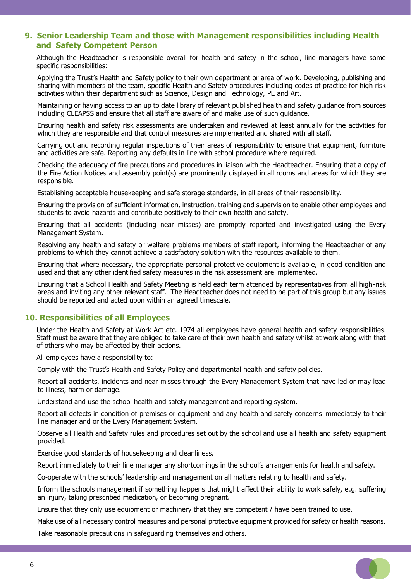## **9. Senior Leadership Team and those with Management responsibilities including Health and Safety Competent Person**

Although the Headteacher is responsible overall for health and safety in the school, line managers have some specific responsibilities:

 Applying the Trust's Health and Safety policy to their own department or area of work. Developing, publishing and sharing with members of the team, specific Health and Safety procedures including codes of practice for high risk activities within their department such as Science, Design and Technology, PE and Art.

 Maintaining or having access to an up to date library of relevant published health and safety guidance from sources including CLEAPSS and ensure that all staff are aware of and make use of such guidance.

 Ensuring health and safety risk assessments are undertaken and reviewed at least annually for the activities for which they are responsible and that control measures are implemented and shared with all staff.

 Carrying out and recording regular inspections of their areas of responsibility to ensure that equipment, furniture and activities are safe. Reporting any defaults in line with school procedure where required.

 Checking the adequacy of fire precautions and procedures in liaison with the Headteacher. Ensuring that a copy of the Fire Action Notices and assembly point(s) are prominently displayed in all rooms and areas for which they are responsible.

Establishing acceptable housekeeping and safe storage standards, in all areas of their responsibility.

 Ensuring the provision of sufficient information, instruction, training and supervision to enable other employees and students to avoid hazards and contribute positively to their own health and safety.

 Ensuring that all accidents (including near misses) are promptly reported and investigated using the Every Management System.

 Resolving any health and safety or welfare problems members of staff report, informing the Headteacher of any problems to which they cannot achieve a satisfactory solution with the resources available to them.

 Ensuring that where necessary, the appropriate personal protective equipment is available, in good condition and used and that any other identified safety measures in the risk assessment are implemented.

 Ensuring that a School Health and Safety Meeting is held each term attended by representatives from all high-risk areas and inviting any other relevant staff. The Headteacher does not need to be part of this group but any issues should be reported and acted upon within an agreed timescale.

#### **10. Responsibilities of all Employees**

Under the Health and Safety at Work Act etc. 1974 all employees have general health and safety responsibilities. Staff must be aware that they are obliged to take care of their own health and safety whilst at work along with that of others who may be affected by their actions.

All employees have a responsibility to:

Comply with the Trust's Health and Safety Policy and departmental health and safety policies.

 Report all accidents, incidents and near misses through the Every Management System that have led or may lead to illness, harm or damage.

Understand and use the school health and safety management and reporting system.

 Report all defects in condition of premises or equipment and any health and safety concerns immediately to their line manager and or the Every Management System.

 Observe all Health and Safety rules and procedures set out by the school and use all health and safety equipment provided.

Exercise good standards of housekeeping and cleanliness.

Report immediately to their line manager any shortcomings in the school's arrangements for health and safety.

Co-operate with the schools' leadership and management on all matters relating to health and safety.

 Inform the schools management if something happens that might affect their ability to work safely, e.g. suffering an injury, taking prescribed medication, or becoming pregnant.

Ensure that they only use equipment or machinery that they are competent / have been trained to use.

Make use of all necessary control measures and personal protective equipment provided for safety or health reasons.

- 0

Take reasonable precautions in safeguarding themselves and others.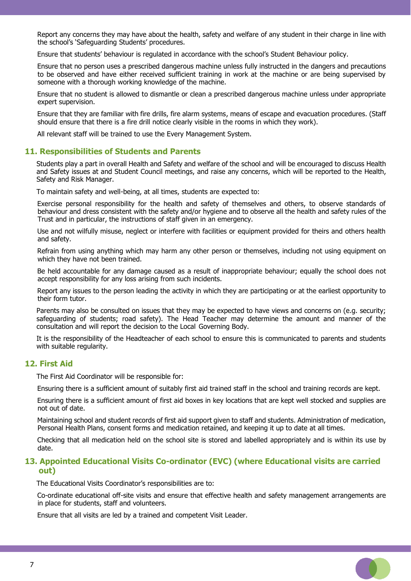Report any concerns they may have about the health, safety and welfare of any student in their charge in line with the school's 'Safeguarding Students' procedures.

Ensure that students' behaviour is regulated in accordance with the school's Student Behaviour policy.

 Ensure that no person uses a prescribed dangerous machine unless fully instructed in the dangers and precautions to be observed and have either received sufficient training in work at the machine or are being supervised by someone with a thorough working knowledge of the machine.

 Ensure that no student is allowed to dismantle or clean a prescribed dangerous machine unless under appropriate expert supervision.

 Ensure that they are familiar with fire drills, fire alarm systems, means of escape and evacuation procedures. (Staff should ensure that there is a fire drill notice clearly visible in the rooms in which they work).

All relevant staff will be trained to use the Every Management System.

## **11. Responsibilities of Students and Parents**

Students play a part in overall Health and Safety and welfare of the school and will be encouraged to discuss Health and Safety issues at and Student Council meetings, and raise any concerns, which will be reported to the Health, Safety and Risk Manager.

To maintain safety and well-being, at all times, students are expected to:

 Exercise personal responsibility for the health and safety of themselves and others, to observe standards of behaviour and dress consistent with the safety and/or hygiene and to observe all the health and safety rules of the Trust and in particular, the instructions of staff given in an emergency.

 Use and not wilfully misuse, neglect or interfere with facilities or equipment provided for theirs and others health and safety.

 Refrain from using anything which may harm any other person or themselves, including not using equipment on which they have not been trained.

 Be held accountable for any damage caused as a result of inappropriate behaviour; equally the school does not accept responsibility for any loss arising from such incidents.

 Report any issues to the person leading the activity in which they are participating or at the earliest opportunity to their form tutor.

Parents may also be consulted on issues that they may be expected to have views and concerns on (e.g. security; safeguarding of students; road safety). The Head Teacher may determine the amount and manner of the consultation and will report the decision to the Local Governing Body.

It is the responsibility of the Headteacher of each school to ensure this is communicated to parents and students with suitable regularity.

#### **12. First Aid**

The First Aid Coordinator will be responsible for:

Ensuring there is a sufficient amount of suitably first aid trained staff in the school and training records are kept.

 Ensuring there is a sufficient amount of first aid boxes in key locations that are kept well stocked and supplies are not out of date.

 Maintaining school and student records of first aid support given to staff and students. Administration of medication, Personal Health Plans, consent forms and medication retained, and keeping it up to date at all times.

 Checking that all medication held on the school site is stored and labelled appropriately and is within its use by date.

## **13. Appointed Educational Visits Co-ordinator (EVC) (where Educational visits are carried out)**

The Educational Visits Coordinator's responsibilities are to:

 Co-ordinate educational off-site visits and ensure that effective health and safety management arrangements are in place for students, staff and volunteers.

Ensure that all visits are led by a trained and competent Visit Leader.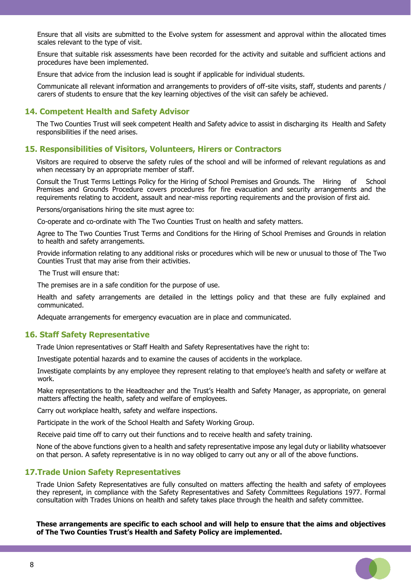Ensure that all visits are submitted to the Evolve system for assessment and approval within the allocated times scales relevant to the type of visit.

 Ensure that suitable risk assessments have been recorded for the activity and suitable and sufficient actions and procedures have been implemented.

Ensure that advice from the inclusion lead is sought if applicable for individual students.

 Communicate all relevant information and arrangements to providers of off-site visits, staff, students and parents / carers of students to ensure that the key learning objectives of the visit can safely be achieved.

#### **14. Competent Health and Safety Advisor**

The Two Counties Trust will seek competent Health and Safety advice to assist in discharging its Health and Safety responsibilities if the need arises.

#### **15. Responsibilities of Visitors, Volunteers, Hirers or Contractors**

Visitors are required to observe the safety rules of the school and will be informed of relevant regulations as and when necessary by an appropriate member of staff.

Consult the Trust Terms Lettings Policy for the Hiring of School Premises and Grounds. The Hiring of School Premises and Grounds Procedure covers procedures for fire evacuation and security arrangements and the requirements relating to accident, assault and near-miss reporting requirements and the provision of first aid.

Persons/organisations hiring the site must agree to:

Co-operate and co-ordinate with The Two Counties Trust on health and safety matters.

 Agree to The Two Counties Trust Terms and Conditions for the Hiring of School Premises and Grounds in relation to health and safety arrangements.

 Provide information relating to any additional risks or procedures which will be new or unusual to those of The Two Counties Trust that may arise from their activities.

The Trust will ensure that:

The premises are in a safe condition for the purpose of use.

 Health and safety arrangements are detailed in the lettings policy and that these are fully explained and communicated.

Adequate arrangements for emergency evacuation are in place and communicated.

#### **16. Staff Safety Representative**

Trade Union representatives or Staff Health and Safety Representatives have the right to:

Investigate potential hazards and to examine the causes of accidents in the workplace.

 Investigate complaints by any employee they represent relating to that employee's health and safety or welfare at work.

 Make representations to the Headteacher and the Trust's Health and Safety Manager, as appropriate, on general matters affecting the health, safety and welfare of employees.

Carry out workplace health, safety and welfare inspections.

Participate in the work of the School Health and Safety Working Group.

Receive paid time off to carry out their functions and to receive health and safety training.

None of the above functions given to a health and safety representative impose any legal duty or liability whatsoever on that person. A safety representative is in no way obliged to carry out any or all of the above functions.

### **17.Trade Union Safety Representatives**

Trade Union Safety Representatives are fully consulted on matters affecting the health and safety of employees they represent, in compliance with the Safety Representatives and Safety Committees Regulations 1977. Formal consultation with Trades Unions on health and safety takes place through the health and safety committee.

**These arrangements are specific to each school and will help to ensure that the aims and objectives of The Two Counties Trust's Health and Safety Policy are implemented.**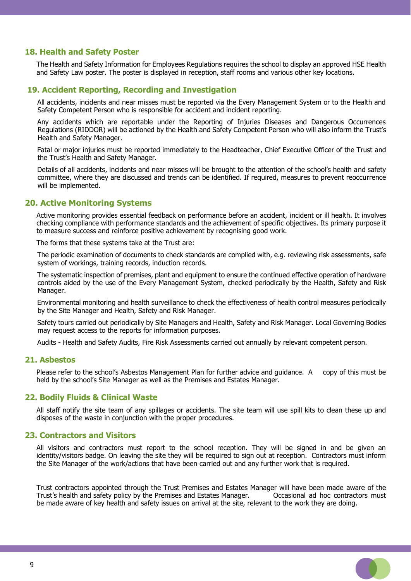## **18. Health and Safety Poster**

The Health and Safety Information for Employees Regulations requires the school to display an approved HSE Health and Safety Law poster. The poster is displayed in reception, staff rooms and various other key locations.

## **19. Accident Reporting, Recording and Investigation**

 All accidents, incidents and near misses must be reported via the Every Management System or to the Health and Safety Competent Person who is responsible for accident and incident reporting.

 Any accidents which are reportable under the Reporting of Injuries Diseases and Dangerous Occurrences Regulations (RIDDOR) will be actioned by the Health and Safety Competent Person who will also inform the Trust's Health and Safety Manager.

 Fatal or major injuries must be reported immediately to the Headteacher, Chief Executive Officer of the Trust and the Trust's Health and Safety Manager.

 Details of all accidents, incidents and near misses will be brought to the attention of the school's health and safety committee, where they are discussed and trends can be identified. If required, measures to prevent reoccurrence will be implemented.

#### **20. Active Monitoring Systems**

Active monitoring provides essential feedback on performance before an accident, incident or ill health. It involves checking compliance with performance standards and the achievement of specific objectives. Its primary purpose it to measure success and reinforce positive achievement by recognising good work.

The forms that these systems take at the Trust are:

 The periodic examination of documents to check standards are complied with, e.g. reviewing risk assessments, safe system of workings, training records, induction records.

 The systematic inspection of premises, plant and equipment to ensure the continued effective operation of hardware controls aided by the use of the Every Management System, checked periodically by the Health, Safety and Risk Manager.

 Environmental monitoring and health surveillance to check the effectiveness of health control measures periodically by the Site Manager and Health, Safety and Risk Manager.

 Safety tours carried out periodically by Site Managers and Health, Safety and Risk Manager. Local Governing Bodies may request access to the reports for information purposes.

Audits - Health and Safety Audits, Fire Risk Assessments carried out annually by relevant competent person.

#### **21. Asbestos**

Please refer to the school's Asbestos Management Plan for further advice and guidance. A copy of this must be held by the school's Site Manager as well as the Premises and Estates Manager.

## **22. Bodily Fluids & Clinical Waste**

All staff notify the site team of any spillages or accidents. The site team will use spill kits to clean these up and disposes of the waste in conjunction with the proper procedures.

## **23. Contractors and Visitors**

All visitors and contractors must report to the school reception. They will be signed in and be given an identity/visitors badge. On leaving the site they will be required to sign out at reception. Contractors must inform the Site Manager of the work/actions that have been carried out and any further work that is required.

Trust contractors appointed through the Trust Premises and Estates Manager will have been made aware of the Trust's health and safety policy by the Premises and Estates Manager. Occasional ad hoc contractors must be made aware of key health and safety issues on arrival at the site, relevant to the work they are doing.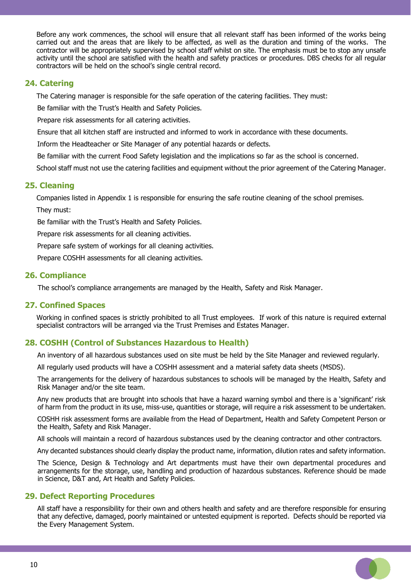Before any work commences, the school will ensure that all relevant staff has been informed of the works being carried out and the areas that are likely to be affected, as well as the duration and timing of the works. The contractor will be appropriately supervised by school staff whilst on site. The emphasis must be to stop any unsafe activity until the school are satisfied with the health and safety practices or procedures. DBS checks for all regular contractors will be held on the school's single central record.

# **24. Catering**

The Catering manager is responsible for the safe operation of the catering facilities. They must:

Be familiar with the Trust's Health and Safety Policies.

Prepare risk assessments for all catering activities.

Ensure that all kitchen staff are instructed and informed to work in accordance with these documents.

Inform the Headteacher or Site Manager of any potential hazards or defects.

Be familiar with the current Food Safety legislation and the implications so far as the school is concerned.

School staff must not use the catering facilities and equipment without the prior agreement of the Catering Manager.

# **25. Cleaning**

Companies listed in Appendix 1 is responsible for ensuring the safe routine cleaning of the school premises. They must:

Be familiar with the Trust's Health and Safety Policies.

Prepare risk assessments for all cleaning activities.

Prepare safe system of workings for all cleaning activities.

Prepare COSHH assessments for all cleaning activities.

# **26. Compliance**

The school's compliance arrangements are managed by the Health, Safety and Risk Manager.

# **27. Confined Spaces**

Working in confined spaces is strictly prohibited to all Trust employees. If work of this nature is required external specialist contractors will be arranged via the Trust Premises and Estates Manager.

# **28. COSHH (Control of Substances Hazardous to Health)**

An inventory of all hazardous substances used on site must be held by the Site Manager and reviewed regularly.

All regularly used products will have a COSHH assessment and a material safety data sheets (MSDS).

 The arrangements for the delivery of hazardous substances to schools will be managed by the Health, Safety and Risk Manager and/or the site team.

 Any new products that are brought into schools that have a hazard warning symbol and there is a 'significant' risk of harm from the product in its use, miss-use, quantities or storage, will require a risk assessment to be undertaken.

 COSHH risk assessment forms are available from the Head of Department, Health and Safety Competent Person or the Health, Safety and Risk Manager.

All schools will maintain a record of hazardous substances used by the cleaning contractor and other contractors.

Any decanted substances should clearly display the product name, information, dilution rates and safety information.

 The Science, Design & Technology and Art departments must have their own departmental procedures and arrangements for the storage, use, handling and production of hazardous substances. Reference should be made in Science, D&T and, Art Health and Safety Policies.

## **29. Defect Reporting Procedures**

 All staff have a responsibility for their own and others health and safety and are therefore responsible for ensuring that any defective, damaged, poorly maintained or untested equipment is reported. Defects should be reported via the Every Management System.

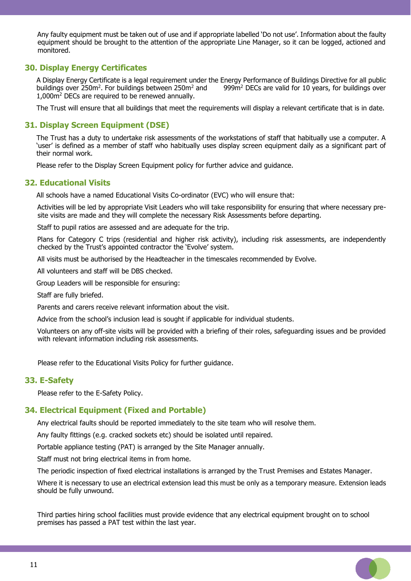Any faulty equipment must be taken out of use and if appropriate labelled 'Do not use'. Information about the faulty equipment should be brought to the attention of the appropriate Line Manager, so it can be logged, actioned and monitored.

## **30. Display Energy Certificates**

A Display Energy Certificate is a legal requirement under the Energy Performance of Buildings Directive for all public buildings over 250m<sup>2</sup>. For buildings between 250m<sup>2</sup> and  $999m<sup>2</sup>$  DECs are valid for 10 years, for buildings over 1,000m<sup>2</sup> DECs are required to be renewed annually.

The Trust will ensure that all buildings that meet the requirements will display a relevant certificate that is in date.

## **31. Display Screen Equipment (DSE)**

The Trust has a duty to undertake risk assessments of the workstations of staff that habitually use a computer. A 'user' is defined as a member of staff who habitually uses display screen equipment daily as a significant part of their normal work.

Please refer to the Display Screen Equipment policy for further advice and guidance.

#### **32. Educational Visits**

All schools have a named Educational Visits Co-ordinator (EVC) who will ensure that:

 Activities will be led by appropriate Visit Leaders who will take responsibility for ensuring that where necessary presite visits are made and they will complete the necessary Risk Assessments before departing.

Staff to pupil ratios are assessed and are adequate for the trip.

 Plans for Category C trips (residential and higher risk activity), including risk assessments, are independently checked by the Trust's appointed contractor the 'Evolve' system.

All visits must be authorised by the Headteacher in the timescales recommended by Evolve.

All volunteers and staff will be DBS checked.

Group Leaders will be responsible for ensuring:

Staff are fully briefed.

Parents and carers receive relevant information about the visit.

Advice from the school's inclusion lead is sought if applicable for individual students.

 Volunteers on any off-site visits will be provided with a briefing of their roles, safeguarding issues and be provided with relevant information including risk assessments.

Please refer to the Educational Visits Policy for further guidance.

#### **33. E-Safety**

Please refer to the E-Safety Policy.

### **34. Electrical Equipment (Fixed and Portable)**

Any electrical faults should be reported immediately to the site team who will resolve them.

Any faulty fittings (e.g. cracked sockets etc) should be isolated until repaired.

Portable appliance testing (PAT) is arranged by the Site Manager annually.

Staff must not bring electrical items in from home.

The periodic inspection of fixed electrical installations is arranged by the Trust Premises and Estates Manager.

 Where it is necessary to use an electrical extension lead this must be only as a temporary measure. Extension leads should be fully unwound.

 Third parties hiring school facilities must provide evidence that any electrical equipment brought on to school premises has passed a PAT test within the last year.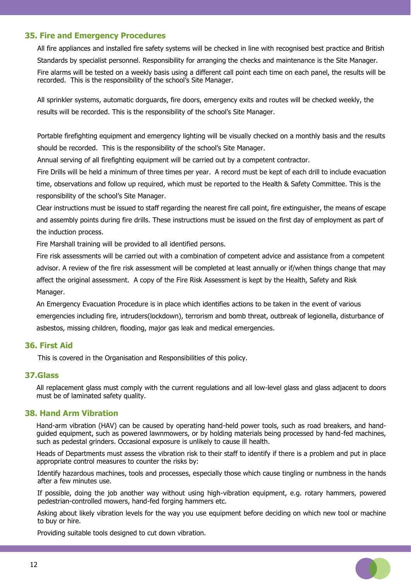# **35. Fire and Emergency Procedures**

 All fire appliances and installed fire safety systems will be checked in line with recognised best practice and British Standards by specialist personnel. Responsibility for arranging the checks and maintenance is the Site Manager. Fire alarms will be tested on a weekly basis using a different call point each time on each panel, the results will be recorded. This is the responsibility of the school's Site Manager.

 All sprinkler systems, automatic dorguards, fire doors, emergency exits and routes will be checked weekly, the results will be recorded. This is the responsibility of the school's Site Manager.

 Portable firefighting equipment and emergency lighting will be visually checked on a monthly basis and the results should be recorded. This is the responsibility of the school's Site Manager.

Annual serving of all firefighting equipment will be carried out by a competent contractor.

 Fire Drills will be held a minimum of three times per year. A record must be kept of each drill to include evacuation time, observations and follow up required, which must be reported to the Health & Safety Committee. This is the responsibility of the school's Site Manager.

Clear instructions must be issued to staff regarding the nearest fire call point, fire extinguisher, the means of escape and assembly points during fire drills. These instructions must be issued on the first day of employment as part of the induction process.

Fire Marshall training will be provided to all identified persons.

Fire risk assessments will be carried out with a combination of competent advice and assistance from a competent advisor. A review of the fire risk assessment will be completed at least annually or if/when things change that may affect the original assessment. A copy of the Fire Risk Assessment is kept by the Health, Safety and Risk Manager.

An Emergency Evacuation Procedure is in place which identifies actions to be taken in the event of various emergencies including fire, intruders(lockdown), terrorism and bomb threat, outbreak of legionella, disturbance of asbestos, missing children, flooding, major gas leak and medical emergencies.

# **36. First Aid**

This is covered in the Organisation and Responsibilities of this policy.

## **37.Glass**

All replacement glass must comply with the current regulations and all low-level glass and glass adjacent to doors must be of laminated safety quality.

## **38. Hand Arm Vibration**

Hand-arm vibration (HAV) can be caused by operating hand-held power tools, such as road breakers, and handguided equipment, such as powered lawnmowers, or by holding materials being processed by hand-fed machines, such as pedestal grinders. Occasional exposure is unlikely to cause ill health.

Heads of Departments must assess the vibration risk to their staff to identify if there is a problem and put in place appropriate control measures to counter the risks by:

 Identify hazardous machines, tools and processes, especially those which cause tingling or numbness in the hands after a few minutes use.

 If possible, doing the job another way without using high-vibration equipment, e.g. rotary hammers, powered pedestrian-controlled mowers, hand-fed forging hammers etc.

 Asking about likely vibration levels for the way you use equipment before deciding on which new tool or machine to buy or hire.

Providing suitable tools designed to cut down vibration.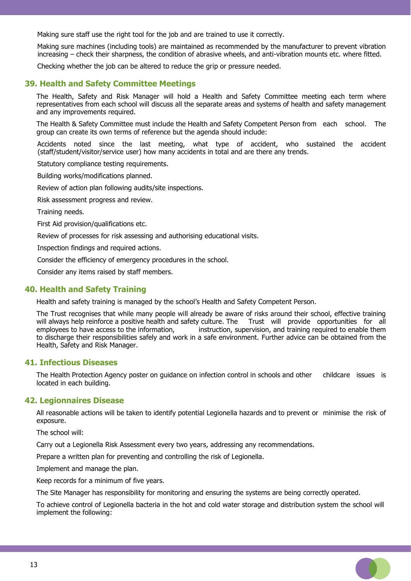Making sure staff use the right tool for the job and are trained to use it correctly.

 Making sure machines (including tools) are maintained as recommended by the manufacturer to prevent vibration increasing – check their sharpness, the condition of abrasive wheels, and anti-vibration mounts etc. where fitted.

Checking whether the job can be altered to reduce the grip or pressure needed.

## **39. Health and Safety Committee Meetings**

The Health, Safety and Risk Manager will hold a Health and Safety Committee meeting each term where representatives from each school will discuss all the separate areas and systems of health and safety management and any improvements required.

The Health & Safety Committee must include the Health and Safety Competent Person from each school. The group can create its own terms of reference but the agenda should include:

 Accidents noted since the last meeting, what type of accident, who sustained the accident (staff/student/visitor/service user) how many accidents in total and are there any trends.

Statutory compliance testing requirements.

Building works/modifications planned.

Review of action plan following audits/site inspections.

Risk assessment progress and review.

Training needs.

First Aid provision/qualifications etc.

Review of processes for risk assessing and authorising educational visits.

Inspection findings and required actions.

Consider the efficiency of emergency procedures in the school.

Consider any items raised by staff members.

## **40. Health and Safety Training**

Health and safety training is managed by the school's Health and Safety Competent Person.

The Trust recognises that while many people will already be aware of risks around their school, effective training will always help reinforce a positive health and safety culture. The Trust will provide opportunities for all employees to have access to the information, instruction, supervision, and training required to enable them instruction, supervision, and training required to enable them to discharge their responsibilities safely and work in a safe environment. Further advice can be obtained from the Health, Safety and Risk Manager.

## **41. Infectious Diseases**

The Health Protection Agency poster on guidance on infection control in schools and other childcare issues is located in each building.

#### **42. Legionnaires Disease**

All reasonable actions will be taken to identify potential Legionella hazards and to prevent or minimise the risk of exposure.

The school will:

Carry out a Legionella Risk Assessment every two years, addressing any recommendations.

Prepare a written plan for preventing and controlling the risk of Legionella.

Implement and manage the plan.

Keep records for a minimum of five years.

The Site Manager has responsibility for monitoring and ensuring the systems are being correctly operated.

To achieve control of Legionella bacteria in the hot and cold water storage and distribution system the school will implement the following: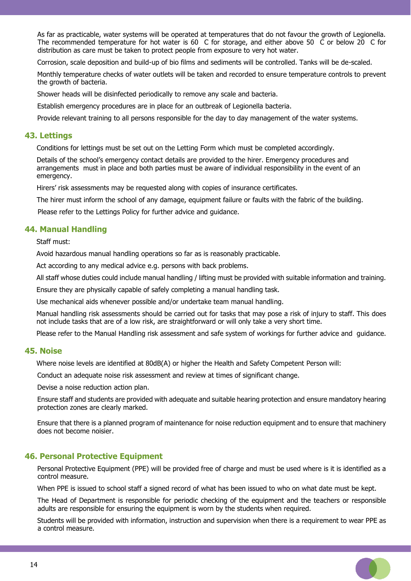As far as practicable, water systems will be operated at temperatures that do not favour the growth of Legionella. The recommended temperature for hot water is 60 C for storage, and either above 50 C or below 20 C for distribution as care must be taken to protect people from exposure to very hot water.

Corrosion, scale deposition and build-up of bio films and sediments will be controlled. Tanks will be de-scaled.

 Monthly temperature checks of water outlets will be taken and recorded to ensure temperature controls to prevent the growth of bacteria.

Shower heads will be disinfected periodically to remove any scale and bacteria.

Establish emergency procedures are in place for an outbreak of Legionella bacteria.

Provide relevant training to all persons responsible for the day to day management of the water systems.

## **43. Lettings**

Conditions for lettings must be set out on the Letting Form which must be completed accordingly.

Details of the school's emergency contact details are provided to the hirer. Emergency procedures and arrangements must in place and both parties must be aware of individual responsibility in the event of an emergency.

Hirers' risk assessments may be requested along with copies of insurance certificates.

The hirer must inform the school of any damage, equipment failure or faults with the fabric of the building.

Please refer to the Lettings Policy for further advice and guidance.

## **44. Manual Handling**

Staff must:

Avoid hazardous manual handling operations so far as is reasonably practicable.

Act according to any medical advice e.g. persons with back problems.

All staff whose duties could include manual handling / lifting must be provided with suitable information and training.

Ensure they are physically capable of safely completing a manual handling task.

Use mechanical aids whenever possible and/or undertake team manual handling.

Manual handling risk assessments should be carried out for tasks that may pose a risk of injury to staff. This does not include tasks that are of a low risk, are straightforward or will only take a very short time.

Please refer to the Manual Handling risk assessment and safe system of workings for further advice and guidance.

#### **45. Noise**

Where noise levels are identified at 80dB(A) or higher the Health and Safety Competent Person will:

Conduct an adequate noise risk assessment and review at times of significant change.

Devise a noise reduction action plan.

 Ensure staff and students are provided with adequate and suitable hearing protection and ensure mandatory hearing protection zones are clearly marked.

 Ensure that there is a planned program of maintenance for noise reduction equipment and to ensure that machinery does not become noisier.

## **46. Personal Protective Equipment**

 Personal Protective Equipment (PPE) will be provided free of charge and must be used where is it is identified as a control measure.

When PPE is issued to school staff a signed record of what has been issued to who on what date must be kept.

 The Head of Department is responsible for periodic checking of the equipment and the teachers or responsible adults are responsible for ensuring the equipment is worn by the students when required.

 Students will be provided with information, instruction and supervision when there is a requirement to wear PPE as a control measure.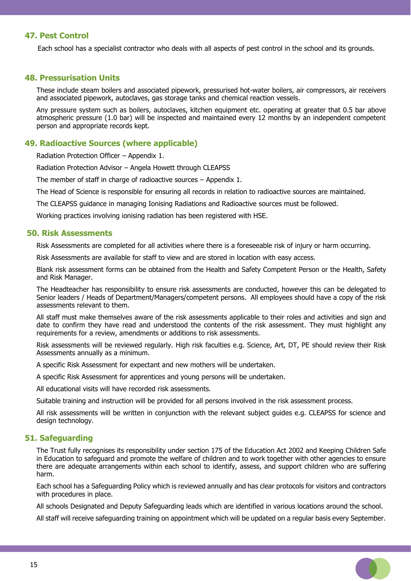# **47. Pest Control**

Each school has a specialist contractor who deals with all aspects of pest control in the school and its grounds.

## **48. Pressurisation Units**

These include steam boilers and associated pipework, pressurised hot-water boilers, air compressors, air receivers and associated pipework, autoclaves, gas storage tanks and chemical reaction vessels.

Any pressure system such as boilers, autoclaves, kitchen equipment etc. operating at greater that 0.5 bar above atmospheric pressure (1.0 bar) will be inspected and maintained every 12 months by an independent competent person and appropriate records kept.

#### **49. Radioactive Sources (where applicable)**

Radiation Protection Officer – Appendix 1.

Radiation Protection Advisor – Angela Howett through CLEAPSS

The member of staff in charge of radioactive sources – Appendix 1.

The Head of Science is responsible for ensuring all records in relation to radioactive sources are maintained.

The CLEAPSS guidance in managing Ionising Radiations and Radioactive sources must be followed.

Working practices involving ionising radiation has been registered with HSE.

#### **50. Risk Assessments**

Risk Assessments are completed for all activities where there is a foreseeable risk of injury or harm occurring.

Risk Assessments are available for staff to view and are stored in location with easy access.

Blank risk assessment forms can be obtained from the Health and Safety Competent Person or the Health, Safety and Risk Manager.

The Headteacher has responsibility to ensure risk assessments are conducted, however this can be delegated to Senior leaders / Heads of Department/Managers/competent persons. All employees should have a copy of the risk assessments relevant to them.

All staff must make themselves aware of the risk assessments applicable to their roles and activities and sign and date to confirm they have read and understood the contents of the risk assessment. They must highlight any requirements for a review, amendments or additions to risk assessments.

Risk assessments will be reviewed regularly. High risk faculties e.g. Science, Art, DT, PE should review their Risk Assessments annually as a minimum.

A specific Risk Assessment for expectant and new mothers will be undertaken.

A specific Risk Assessment for apprentices and young persons will be undertaken.

All educational visits will have recorded risk assessments.

Suitable training and instruction will be provided for all persons involved in the risk assessment process.

All risk assessments will be written in conjunction with the relevant subject guides e.g. CLEAPSS for science and design technology.

## **51. Safeguarding**

The Trust fully recognises its responsibility under section 175 of the Education Act 2002 and Keeping Children Safe in Education to safeguard and promote the welfare of children and to work together with other agencies to ensure there are adequate arrangements within each school to identify, assess, and support children who are suffering harm.

Each school has a Safeguarding Policy which is reviewed annually and has clear protocols for visitors and contractors with procedures in place.

All schools Designated and Deputy Safeguarding leads which are identified in various locations around the school.

All staff will receive safeguarding training on appointment which will be updated on a regular basis every September.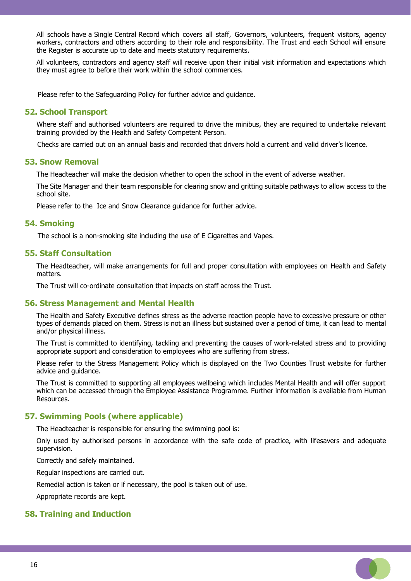All schools have a Single Central Record which covers all staff, Governors, volunteers, frequent visitors, agency workers, contractors and others according to their role and responsibility. The Trust and each School will ensure the Register is accurate up to date and meets statutory requirements.

All volunteers, contractors and agency staff will receive upon their initial visit information and expectations which they must agree to before their work within the school commences.

Please refer to the Safeguarding Policy for further advice and guidance.

## **52. School Transport**

Where staff and authorised volunteers are required to drive the minibus, they are required to undertake relevant training provided by the Health and Safety Competent Person.

Checks are carried out on an annual basis and recorded that drivers hold a current and valid driver's licence.

#### **53. Snow Removal**

The Headteacher will make the decision whether to open the school in the event of adverse weather.

The Site Manager and their team responsible for clearing snow and gritting suitable pathways to allow access to the school site.

Please refer to the Ice and Snow Clearance guidance for further advice.

#### **54. Smoking**

The school is a non-smoking site including the use of E Cigarettes and Vapes.

## **55. Staff Consultation**

The Headteacher, will make arrangements for full and proper consultation with employees on Health and Safety matters.

The Trust will co-ordinate consultation that impacts on staff across the Trust.

#### **56. Stress Management and Mental Health**

The Health and Safety Executive defines stress as the adverse reaction people have to excessive pressure or other types of demands placed on them. Stress is not an illness but sustained over a period of time, it can lead to mental and/or physical illness.

The Trust is committed to identifying, tackling and preventing the causes of work-related stress and to providing appropriate support and consideration to employees who are suffering from stress.

Please refer to the Stress Management Policy which is displayed on the Two Counties Trust website for further advice and guidance.

The Trust is committed to supporting all employees wellbeing which includes Mental Health and will offer support which can be accessed through the Employee Assistance Programme. Further information is available from Human Resources.

#### **57. Swimming Pools (where applicable)**

The Headteacher is responsible for ensuring the swimming pool is:

Only used by authorised persons in accordance with the safe code of practice, with lifesavers and adequate supervision.

Correctly and safely maintained.

Regular inspections are carried out.

Remedial action is taken or if necessary, the pool is taken out of use.

Appropriate records are kept.

#### **58. Training and Induction**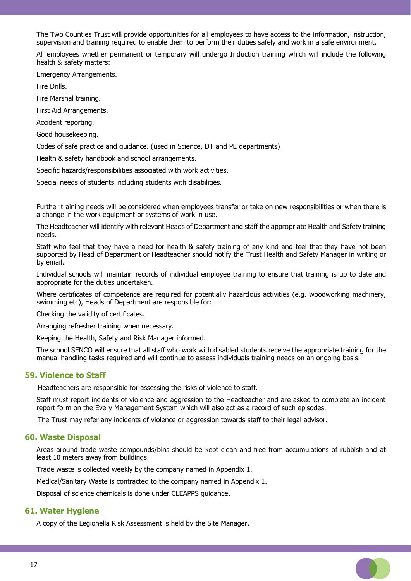The Two Counties Trust will provide opportunities for all employees to have access to the information, instruction, supervision and training required to enable them to perform their duties safely and work in a safe environment.

All employees whether permanent or temporary will undergo Induction training which will include the following health & safety matters:

Emergency Arrangements.

Fire Drills.

Fire Marshal training.

First Aid Arrangements.

Accident reporting.

Good housekeeping.

Codes of safe practice and guidance. (used in Science, DT and PE departments)

Health & safety handbook and school arrangements.

Specific hazards/responsibilities associated with work activities.

Special needs of students including students with disabilities.

Further training needs will be considered when employees transfer or take on new responsibilities or when there is a change in the work equipment or systems of work in use.

The Headteacher will identify with relevant Heads of Department and staff the appropriate Health and Safety training needs.

Staff who feel that they have a need for health & safety training of any kind and feel that they have not been supported by Head of Department or Headteacher should notify the Trust Health and Safety Manager in writing or by email.

Individual schools will maintain records of individual employee training to ensure that training is up to date and appropriate for the duties undertaken.

Where certificates of competence are required for potentially hazardous activities (e.g. woodworking machinery, swimming etc), Heads of Department are responsible for:

Checking the validity of certificates.

Arranging refresher training when necessary.

Keeping the Health, Safety and Risk Manager informed.

The school SENCO will ensure that all staff who work with disabled students receive the appropriate training for the manual handling tasks required and will continue to assess individuals training needs on an ongoing basis.

## **59. Violence to Staff**

Headteachers are responsible for assessing the risks of violence to staff.

Staff must report incidents of violence and aggression to the Headteacher and are asked to complete an incident report form on the Every Management System which will also act as a record of such episodes.

The Trust may refer any incidents of violence or aggression towards staff to their legal advisor.

#### **60. Waste Disposal**

Areas around trade waste compounds/bins should be kept clean and free from accumulations of rubbish and at least 10 meters away from buildings.

 $\Box$ 

Trade waste is collected weekly by the company named in Appendix 1.

Medical/Sanitary Waste is contracted to the company named in Appendix 1.

Disposal of science chemicals is done under CLEAPPS guidance.

## **61. Water Hygiene**

A copy of the Legionella Risk Assessment is held by the Site Manager.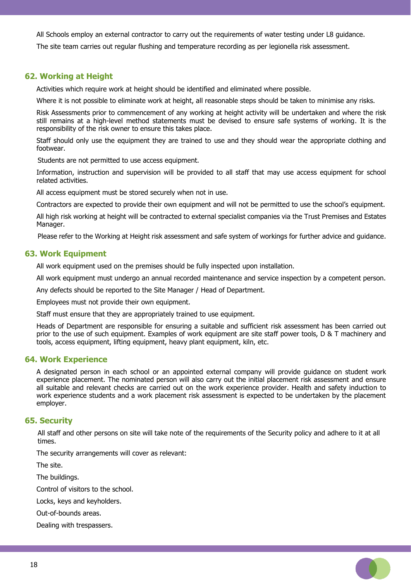All Schools employ an external contractor to carry out the requirements of water testing under L8 guidance.

The site team carries out regular flushing and temperature recording as per legionella risk assessment.

## **62. Working at Height**

Activities which require work at height should be identified and eliminated where possible.

Where it is not possible to eliminate work at height, all reasonable steps should be taken to minimise any risks.

Risk Assessments prior to commencement of any working at height activity will be undertaken and where the risk still remains at a high-level method statements must be devised to ensure safe systems of working. It is the responsibility of the risk owner to ensure this takes place.

Staff should only use the equipment they are trained to use and they should wear the appropriate clothing and footwear.

Students are not permitted to use access equipment.

Information, instruction and supervision will be provided to all staff that may use access equipment for school related activities.

All access equipment must be stored securely when not in use.

Contractors are expected to provide their own equipment and will not be permitted to use the school's equipment.

All high risk working at height will be contracted to external specialist companies via the Trust Premises and Estates Manager.

Please refer to the Working at Height risk assessment and safe system of workings for further advice and guidance.

#### **63. Work Equipment**

All work equipment used on the premises should be fully inspected upon installation.

All work equipment must undergo an annual recorded maintenance and service inspection by a competent person.

Any defects should be reported to the Site Manager / Head of Department.

Employees must not provide their own equipment.

Staff must ensure that they are appropriately trained to use equipment.

Heads of Department are responsible for ensuring a suitable and sufficient risk assessment has been carried out prior to the use of such equipment. Examples of work equipment are site staff power tools, D & T machinery and tools, access equipment, lifting equipment, heavy plant equipment, kiln, etc.

#### **64. Work Experience**

A designated person in each school or an appointed external company will provide guidance on student work experience placement. The nominated person will also carry out the initial placement risk assessment and ensure all suitable and relevant checks are carried out on the work experience provider. Health and safety induction to work experience students and a work placement risk assessment is expected to be undertaken by the placement employer.

## **65. Security**

 All staff and other persons on site will take note of the requirements of the Security policy and adhere to it at all times.

The security arrangements will cover as relevant:

The site.

The buildings.

Control of visitors to the school.

Locks, keys and keyholders.

Out-of-bounds areas.

Dealing with trespassers.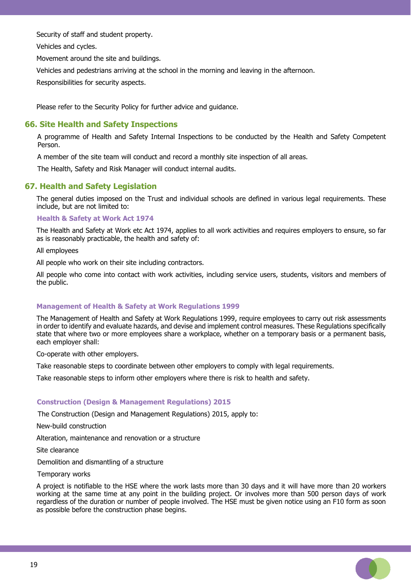Security of staff and student property.

Vehicles and cycles.

Movement around the site and buildings.

Vehicles and pedestrians arriving at the school in the morning and leaving in the afternoon.

Responsibilities for security aspects.

Please refer to the Security Policy for further advice and guidance.

# **66. Site Health and Safety Inspections**

 A programme of Health and Safety Internal Inspections to be conducted by the Health and Safety Competent Person.

A member of the site team will conduct and record a monthly site inspection of all areas.

The Health, Safety and Risk Manager will conduct internal audits.

# **67. Health and Safety Legislation**

The general duties imposed on the Trust and individual schools are defined in various legal requirements. These include, but are not limited to:

#### **Health & Safety at Work Act 1974**

The Health and Safety at Work etc Act 1974, applies to all work activities and requires employers to ensure, so far as is reasonably practicable, the health and safety of:

All employees

All people who work on their site including contractors.

All people who come into contact with work activities, including service users, students, visitors and members of the public.

#### **Management of Health & Safety at Work Regulations 1999**

The Management of Health and Safety at Work Regulations 1999, require employees to carry out risk assessments in order to identify and evaluate hazards, and devise and implement control measures. These Regulations specifically state that where two or more employees share a workplace, whether on a temporary basis or a permanent basis, each employer shall:

Co-operate with other employers.

Take reasonable steps to coordinate between other employers to comply with legal requirements.

Take reasonable steps to inform other employers where there is risk to health and safety.

#### **Construction (Design & Management Regulations) 2015**

The Construction (Design and Management Regulations) 2015, apply to:

New-build construction

Alteration, maintenance and renovation or a structure

Site clearance

Demolition and dismantling of a structure

Temporary works

A project is notifiable to the HSE where the work lasts more than 30 days and it will have more than 20 workers working at the same time at any point in the building project. Or involves more than 500 person days of work regardless of the duration or number of people involved. The HSE must be given notice using an F10 form as soon as possible before the construction phase begins.

19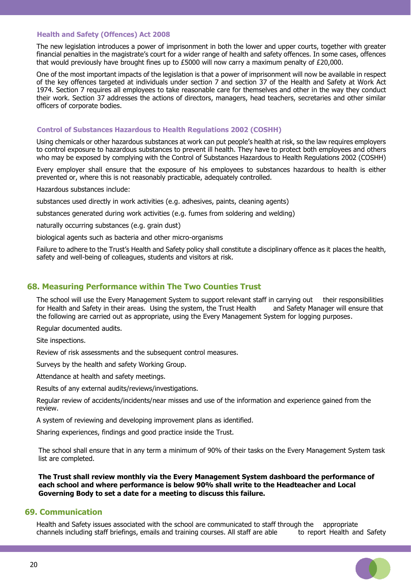#### **Health and Safety (Offences) Act 2008**

The new legislation introduces a power of imprisonment in both the lower and upper courts, together with greater financial penalties in the magistrate's court for a wider range of health and safety offences. In some cases, offences that would previously have brought fines up to £5000 will now carry a maximum penalty of £20,000.

One of the most important impacts of the legislation is that a power of imprisonment will now be available in respect of the key offences targeted at individuals under section 7 and section 37 of the Health and Safety at Work Act 1974. Section 7 requires all employees to take reasonable care for themselves and other in the way they conduct their work. Section 37 addresses the actions of directors, managers, head teachers, secretaries and other similar officers of corporate bodies.

#### **Control of Substances Hazardous to Health Regulations 2002 (COSHH)**

Using chemicals or other hazardous substances at work can put people's health at risk, so the law requires employers to control exposure to hazardous substances to prevent ill health. They have to protect both employees and others who may be exposed by complying with the Control of Substances Hazardous to Health Regulations 2002 (COSHH)

Every employer shall ensure that the exposure of his employees to substances hazardous to health is either prevented or, where this is not reasonably practicable, adequately controlled.

Hazardous substances include:

substances used directly in work activities (e.g. adhesives, paints, cleaning agents)

substances generated during work activities (e.g. fumes from soldering and welding)

naturally occurring substances (e.g. grain dust)

biological agents such as bacteria and other micro-organisms

Failure to adhere to the Trust's Health and Safety policy shall constitute a disciplinary offence as it places the health, safety and well-being of colleagues, students and visitors at risk.

## **68. Measuring Performance within The Two Counties Trust**

The school will use the Every Management System to support relevant staff in carrying out their responsibilities for Health and Safety in their areas. Using the system, the Trust Health and Safety Manager will ensure that the following are carried out as appropriate, using the Every Management System for logging purposes.

Regular documented audits.

Site inspections.

Review of risk assessments and the subsequent control measures.

Surveys by the health and safety Working Group.

Attendance at health and safety meetings.

Results of any external audits/reviews/investigations.

Regular review of accidents/incidents/near misses and use of the information and experience gained from the review.

A system of reviewing and developing improvement plans as identified.

Sharing experiences, findings and good practice inside the Trust.

The school shall ensure that in any term a minimum of 90% of their tasks on the Every Management System task list are completed.

**The Trust shall review monthly via the Every Management System dashboard the performance of each school and where performance is below 90% shall write to the Headteacher and Local Governing Body to set a date for a meeting to discuss this failure.** 

## **69. Communication**

Health and Safety issues associated with the school are communicated to staff through the appropriate channels including staff briefings, emails and training courses. All staff are able to report Health and Safety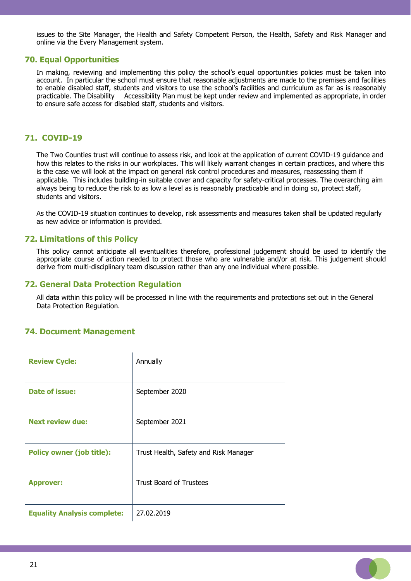issues to the Site Manager, the Health and Safety Competent Person, the Health, Safety and Risk Manager and online via the Every Management system.

## **70. Equal Opportunities**

In making, reviewing and implementing this policy the school's equal opportunities policies must be taken into account. In particular the school must ensure that reasonable adjustments are made to the premises and facilities to enable disabled staff, students and visitors to use the school's facilities and curriculum as far as is reasonably practicable. The Disability Accessibility Plan must be kept under review and implemented as appropriate, in order to ensure safe access for disabled staff, students and visitors.

## **71. COVID-19**

The Two Counties trust will continue to assess risk, and look at the application of current COVID-19 guidance and how this relates to the risks in our workplaces. This will likely warrant changes in certain practices, and where this is the case we will look at the impact on general risk control procedures and measures, reassessing them if applicable. This includes building-in suitable cover and capacity for safety-critical processes. The overarching aim always being to reduce the risk to as low a level as is reasonably practicable and in doing so, protect staff, students and visitors.

As the COVID-19 situation continues to develop, risk assessments and measures taken shall be updated regularly as new advice or information is provided.

## **72. Limitations of this Policy**

This policy cannot anticipate all eventualities therefore, professional judgement should be used to identify the appropriate course of action needed to protect those who are vulnerable and/or at risk. This judgement should derive from multi-disciplinary team discussion rather than any one individual where possible.

#### **72. General Data Protection Regulation**

All data within this policy will be processed in line with the requirements and protections set out in the General Data Protection Regulation.

### **74. Document Management**

| <b>Review Cycle:</b>               | Annually                              |
|------------------------------------|---------------------------------------|
| Date of issue:                     | September 2020                        |
| <b>Next review due:</b>            | September 2021                        |
| <b>Policy owner (job title):</b>   | Trust Health, Safety and Risk Manager |
| <b>Approver:</b>                   | <b>Trust Board of Trustees</b>        |
| <b>Equality Analysis complete:</b> | 27.02.2019                            |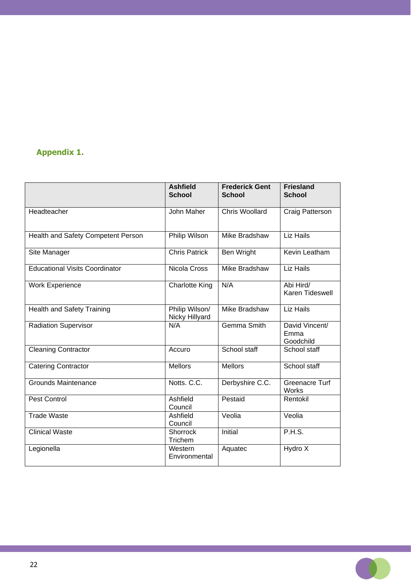# **Appendix 1.**

|                                       | <b>Ashfield</b><br><b>School</b> | <b>Frederick Gent</b><br><b>School</b> | <b>Friesland</b><br><b>School</b>   |
|---------------------------------------|----------------------------------|----------------------------------------|-------------------------------------|
| Headteacher                           | John Maher                       | <b>Chris Woollard</b>                  | <b>Craig Patterson</b>              |
| Health and Safety Competent Person    | Philip Wilson                    | Mike Bradshaw                          | <b>Liz Hails</b>                    |
| Site Manager                          | <b>Chris Patrick</b>             | <b>Ben Wright</b>                      | Kevin Leatham                       |
| <b>Educational Visits Coordinator</b> | Nicola Cross                     | Mike Bradshaw                          | Liz Hails                           |
| <b>Work Experience</b>                | <b>Charlotte King</b>            | N/A                                    | Abi Hird/<br>Karen Tideswell        |
| <b>Health and Safety Training</b>     | Philip Wilson/<br>Nicky Hillyard | Mike Bradshaw                          | <b>Liz Hails</b>                    |
| <b>Radiation Supervisor</b>           | N/A                              | Gemma Smith                            | David Vincent/<br>Emma<br>Goodchild |
| <b>Cleaning Contractor</b>            | Accuro                           | School staff                           | School staff                        |
| <b>Catering Contractor</b>            | <b>Mellors</b>                   | <b>Mellors</b>                         | School staff                        |
| <b>Grounds Maintenance</b>            | Notts, C.C.                      | Derbyshire C.C.                        | Greenacre Turf<br>Works             |
| <b>Pest Control</b>                   | Ashfield<br>Council              | Pestaid                                | Rentokil                            |
| <b>Trade Waste</b>                    | Ashfield<br>Council              | Veolia                                 | Veolia                              |
| <b>Clinical Waste</b>                 | Shorrock<br>Trichem              | Initial                                | P.H.S.                              |
| Legionella                            | Western<br>Environmental         | Aquatec                                | Hydro X                             |

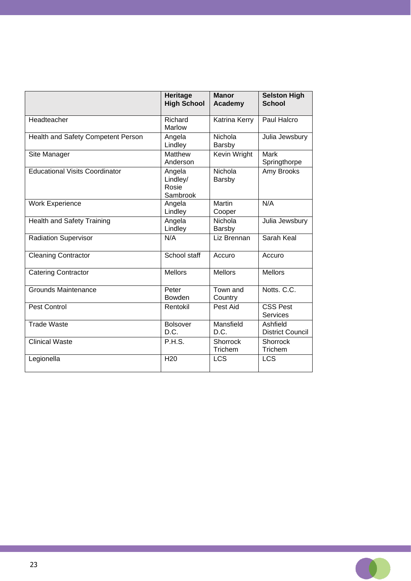|                                       | Heritage<br><b>High School</b>          | <b>Manor</b><br>Academy  | <b>Selston High</b><br><b>School</b> |
|---------------------------------------|-----------------------------------------|--------------------------|--------------------------------------|
| Headteacher                           | Richard<br>Marlow                       | Katrina Kerry            | Paul Halcro                          |
| Health and Safety Competent Person    | Angela<br>Lindley                       | Nichola<br><b>Barsby</b> | Julia Jewsbury                       |
| Site Manager                          | Matthew<br>Anderson                     | Kevin Wright             | Mark<br>Springthorpe                 |
| <b>Educational Visits Coordinator</b> | Angela<br>Lindley/<br>Rosie<br>Sambrook | Nichola<br>Barsby        | Amy Brooks                           |
| <b>Work Experience</b>                | Angela<br>Lindley                       | <b>Martin</b><br>Cooper  | N/A                                  |
| <b>Health and Safety Training</b>     | Angela<br>Lindley                       | Nichola<br>Barsby        | Julia Jewsbury                       |
| <b>Radiation Supervisor</b>           | N/A                                     | Liz Brennan              | Sarah Keal                           |
| <b>Cleaning Contractor</b>            | School staff                            | Accuro                   | Accuro                               |
| <b>Catering Contractor</b>            | <b>Mellors</b>                          | <b>Mellors</b>           | <b>Mellors</b>                       |
| <b>Grounds Maintenance</b>            | Peter<br>Bowden                         | Town and<br>Country      | Notts. C.C.                          |
| Pest Control                          | Rentokil                                | Pest Aid                 | <b>CSS Pest</b><br><b>Services</b>   |
| <b>Trade Waste</b>                    | <b>Bolsover</b><br>D.C.                 | Mansfield<br>D.C.        | Ashfield<br><b>District Council</b>  |
| <b>Clinical Waste</b>                 | P.H.S.                                  | Shorrock<br>Trichem      | Shorrock<br>Trichem                  |
| Legionella                            | H <sub>20</sub>                         | <b>LCS</b>               | <b>LCS</b>                           |